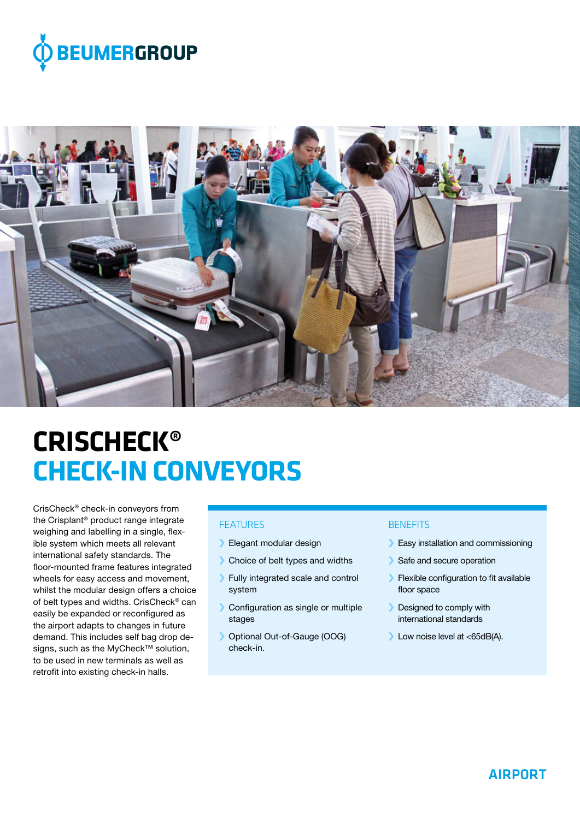



# **CRISCHECK® CHECK-IN CONVEYORS**

CrisCheck® check-in conveyors from the Crisplant® product range integrate weighing and labelling in a single, flexible system which meets all relevant international safety standards. The floor-mounted frame features integrated wheels for easy access and movement, whilst the modular design offers a choice of belt types and widths. CrisCheck® can easily be expanded or reconfigured as the airport adapts to changes in future demand. This includes self bag drop designs, such as the MyCheck<sup>™</sup> solution, to be used in new terminals as well as retrofit into existing check-in halls.

# FEATURES

- › Elegant modular design
- › Choice of belt types and widths
- › Fully integrated scale and control system
- › Configuration as single or multiple stages
- › Optional Out-of-Gauge (OOG) check-in.

## **BENEFITS**

- > Easy installation and commissioning
- › Safe and secure operation
- › Flexible configuration to fit available floor space
- › Designed to comply with international standards
- › Low noise level at <65dB(A).